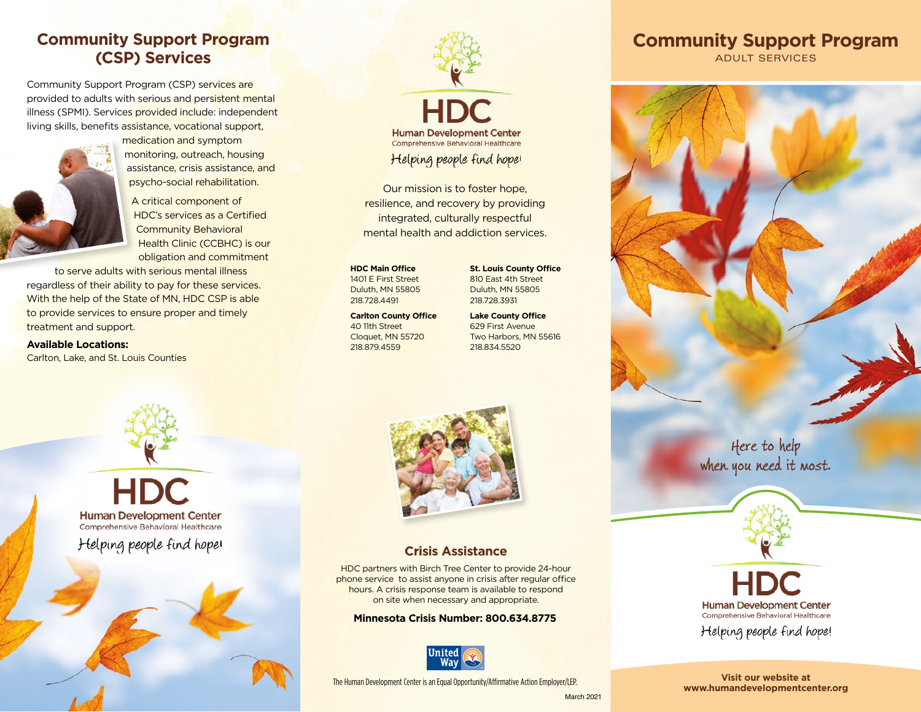# **Community Support Program (CSP) Services**

Community Support Program (CSP) services are provided to adults with serious and persistent mental illness (SPMI). Services provided include: independent living skills, benefits assistance, vocational support,



medication and symptom monitoring, outreach, housing assistance, crisis assistance, and psycho-social rehabilitation.

A critical component of HDC's services as a Certified Community Behavioral Health Clinic (CCBHC) is our obligation and commitment

to serve adults with serious mental illness regardless of their ability to pay for these services. With the help of the State of MN, HDC CSP is able to provide services to ensure proper and timely treatment and support.

**Available Locations:** Carlton, Lake, and St. Louis Counties



Our mission is to foster hope, resilience, and recovery by providing integrated, culturally respectful mental health and addiction services.

**HDC Main Office** 1401 E First Street Duluth, MN 55805 218.728.4491

**Carlton County Office** 40 11th Street Cloquet, MN 55720 218.879.4559

**St. Louis County Office** 810 East 4th Street Duluth, MN 55805 218.728.3931

**Lake County Office** 629 First Avenue Two Harbors, MN 55616 218.834.5520

**HDC Human Development Center** Comprehensive Behavioral Healthcare Helping people find hope!



## **Crisis Assistance**

HDC partners with Birch Tree Center to provide 24-hour phone service to assist anyone in crisis after regular office hours. A crisis response team is available to respond on site when necessary and appropriate.

#### **Minnesota Crisis Number: 800.634.8775**



The Human Development Center is an Equal Opportunity/Affirmative Action Employer/LEP.

Here to help when you need it most.



**Visit our website at [www.humandevelopmentcenter.org](http://www.humandevelopmentcenter.org)**